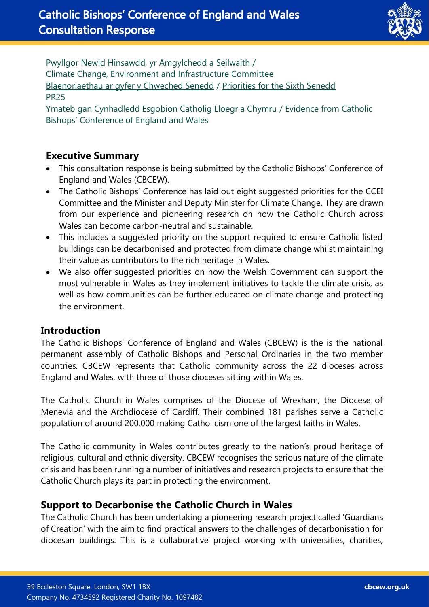

Pwyllgor Newid Hinsawdd, yr Amgylchedd a Seilwaith / Climate Change, Environment and Infrastructure Committee [Blaenoriaethau ar gyfer y Chweched Senedd](https://busnes.senedd.cymru/mgConsultationDisplay.aspx?id=427&RPID=1026452002&cp=yes) / Priorities [for the Sixth Senedd](https://business.senedd.wales/mgConsultationDisplay.aspx?id=427&RPID=1026452002&cp=yes) PR25

Ymateb gan Cynhadledd Esgobion Catholig Lloegr a Chymru / Evidence from Catholic Bishops' Conference of England and Wales

### **Executive Summary**

- This consultation response is being submitted by the Catholic Bishops' Conference of England and Wales (CBCEW).
- The Catholic Bishops' Conference has laid out eight suggested priorities for the CCEI Committee and the Minister and Deputy Minister for Climate Change. They are drawn from our experience and pioneering research on how the Catholic Church across Wales can become carbon-neutral and sustainable.
- This includes a suggested priority on the support required to ensure Catholic listed buildings can be decarbonised and protected from climate change whilst maintaining their value as contributors to the rich heritage in Wales.
- We also offer suggested priorities on how the Welsh Government can support the most vulnerable in Wales as they implement initiatives to tackle the climate crisis, as well as how communities can be further educated on climate change and protecting the environment.

#### **Introduction**

The Catholic Bishops' Conference of England and Wales (CBCEW) is the is the national permanent assembly of Catholic Bishops and Personal Ordinaries in the two member countries. CBCEW represents that Catholic community across the 22 dioceses across England and Wales, with three of those dioceses sitting within Wales.

The Catholic Church in Wales comprises of the Diocese of Wrexham, the Diocese of Menevia and the Archdiocese of Cardiff. Their combined 181 parishes serve a Catholic population of around 200,000 making Catholicism one of the largest faiths in Wales.

The Catholic community in Wales contributes greatly to the nation's proud heritage of religious, cultural and ethnic diversity. CBCEW recognises the serious nature of the climate crisis and has been running a number of initiatives and research projects to ensure that the Catholic Church plays its part in protecting the environment.

## **Support to Decarbonise the Catholic Church in Wales**

The Catholic Church has been undertaking a pioneering research project called 'Guardians of Creation' with the aim to find practical answers to the challenges of decarbonisation for diocesan buildings. This is a collaborative project working with universities, charities,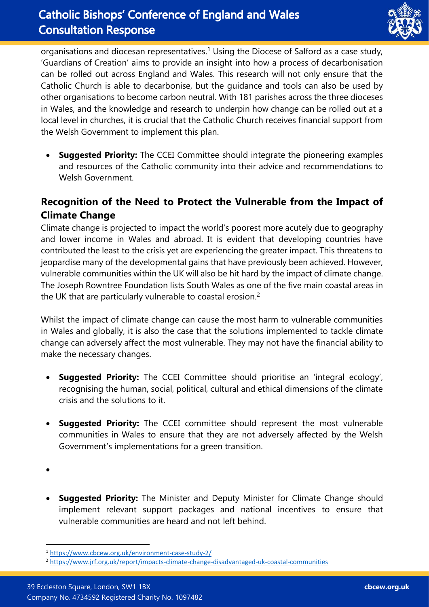

organisations and diocesan representatives.<sup>1</sup> Using the Diocese of Salford as a case study, 'Guardians of Creation' aims to provide an insight into how a process of decarbonisation can be rolled out across England and Wales. This research will not only ensure that the Catholic Church is able to decarbonise, but the guidance and tools can also be used by other organisations to become carbon neutral. With 181 parishes across the three dioceses in Wales, and the knowledge and research to underpin how change can be rolled out at a local level in churches, it is crucial that the Catholic Church receives financial support from the Welsh Government to implement this plan.

• **Suggested Priority:** The CCEI Committee should integrate the pioneering examples and resources of the Catholic community into their advice and recommendations to Welsh Government.

# **Recognition of the Need to Protect the Vulnerable from the Impact of Climate Change**

Climate change is projected to impact the world's poorest more acutely due to geography and lower income in Wales and abroad. It is evident that developing countries have contributed the least to the crisis yet are experiencing the greater impact. This threatens to jeopardise many of the developmental gains that have previously been achieved. However, vulnerable communities within the UK will also be hit hard by the impact of climate change. The Joseph Rowntree Foundation lists South Wales as one of the five main coastal areas in the UK that are particularly vulnerable to coastal erosion.<sup>2</sup>

Whilst the impact of climate change can cause the most harm to vulnerable communities in Wales and globally, it is also the case that the solutions implemented to tackle climate change can adversely affect the most vulnerable. They may not have the financial ability to make the necessary changes.

- **Suggested Priority:** The CCEI Committee should prioritise an 'integral ecology', recognising the human, social, political, cultural and ethical dimensions of the climate crisis and the solutions to it.
- **Suggested Priority:** The CCEI committee should represent the most vulnerable communities in Wales to ensure that they are not adversely affected by the Welsh Government's implementations for a green transition.

**Suggested Priority:** The Minister and Deputy Minister for Climate Change should implement relevant support packages and national incentives to ensure that vulnerable communities are heard and not left behind.

<sup>•</sup>

<sup>1</sup> <https://www.cbcew.org.uk/environment-case-study-2/>

<sup>2</sup> <https://www.jrf.org.uk/report/impacts-climate-change-disadvantaged-uk-coastal-communities>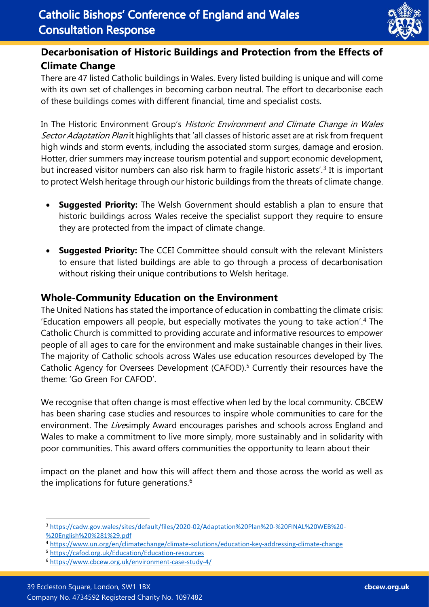

# **Decarbonisation of Historic Buildings and Protection from the Effects of Climate Change**

There are 47 listed Catholic buildings in Wales. Every listed building is unique and will come with its own set of challenges in becoming carbon neutral. The effort to decarbonise each of these buildings comes with different financial, time and specialist costs.

In The Historic Environment Group's Historic Environment and Climate Change in Wales Sector Adaptation Plan it highlights that 'all classes of historic asset are at risk from frequent high winds and storm events, including the associated storm surges, damage and erosion. Hotter, drier summers may increase tourism potential and support economic development, but increased visitor numbers can also risk harm to fragile historic assets'.<sup>3</sup> It is important to protect Welsh heritage through our historic buildings from the threats of climate change.

- **Suggested Priority:** The Welsh Government should establish a plan to ensure that historic buildings across Wales receive the specialist support they require to ensure they are protected from the impact of climate change.
- **Suggested Priority:** The CCEI Committee should consult with the relevant Ministers to ensure that listed buildings are able to go through a process of decarbonisation without risking their unique contributions to Welsh heritage.

### **Whole-Community Education on the Environment**

The United Nations has stated the importance of education in combatting the climate crisis: 'Education empowers all people, but especially motivates the young to take action'.<sup>4</sup> The Catholic Church is committed to providing accurate and informative resources to empower people of all ages to care for the environment and make sustainable changes in their lives. The majority of Catholic schools across Wales use education resources developed by The Catholic Agency for Oversees Development (CAFOD). <sup>5</sup> Currently their resources have the theme: 'Go Green For CAFOD'.

We recognise that often change is most effective when led by the local community. CBCEW has been sharing case studies and resources to inspire whole communities to care for the environment. The Livesimply Award encourages parishes and schools across England and Wales to make a commitment to live more simply, more sustainably and in solidarity with poor communities. This award offers communities the opportunity to learn about their

impact on the planet and how this will affect them and those across the world as well as the implications for future generations.<sup>6</sup>

<sup>3</sup> [https://cadw.gov.wales/sites/default/files/2020-02/Adaptation%20Plan%20-%20FINAL%20WEB%20-](https://cadw.gov.wales/sites/default/files/2020-02/Adaptation%20Plan%20-%20FINAL%20WEB%20-%20English%20%281%29.pdf) [%20English%20%281%29.pdf](https://cadw.gov.wales/sites/default/files/2020-02/Adaptation%20Plan%20-%20FINAL%20WEB%20-%20English%20%281%29.pdf)

<sup>4</sup> <https://www.un.org/en/climatechange/climate-solutions/education-key-addressing-climate-change>

<sup>5</sup> <https://cafod.org.uk/Education/Education-resources>

<sup>6</sup> <https://www.cbcew.org.uk/environment-case-study-4/>